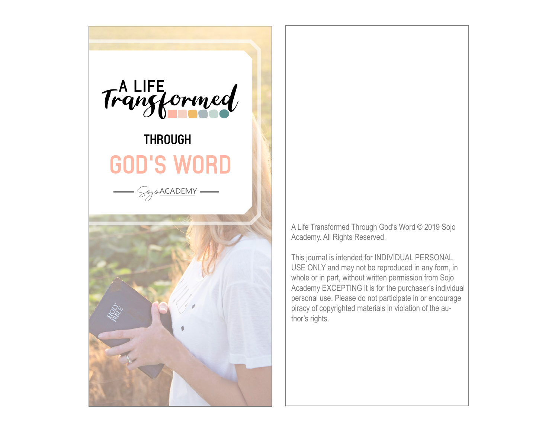

A Life Transformed Through God's Word © 2019 Sojo Academy. All Rights Reserved.

This journal is intended for INDIVIDUAL PERSONAL USE ONLY and may not be reproduced in any form, in whole or in part, without written permission from Sojo Academy EXCEPTING it is for the purchaser's individual personal use. Please do not participate in or encourage piracy of copyrighted materials in violation of the author's rights.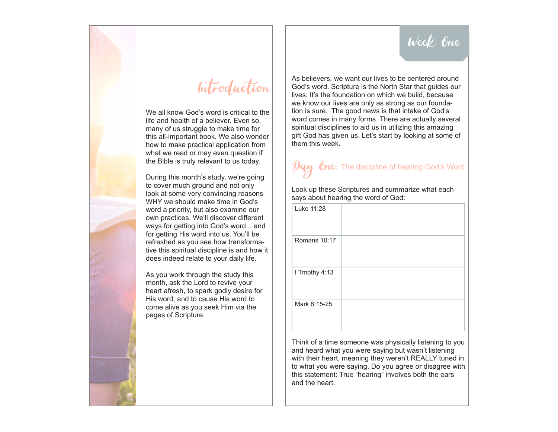### Week One



### Introduction

We all know God's word is critical to the life and health of a believer. Even so, many of us struggle to make time for this all-important book. We also wonder how to make practical application from what we read or may even question if the Bible is truly relevant to us today.

During this month's study, we're going to cover much ground and not only look at some very convincing reasons WHY we should make time in God's word a priority, but also examine our own practices. We'll discover different ways for getting into God's word... and for getting His word into us. You'll be refreshed as you see how transformative this spiritual discipline is and how it does indeed relate to your daily life.

As you work through the study this month, ask the Lord to revive your heart afresh, to spark godly desire for His word, and to cause His word to come alive as you seek Him via the pages of Scripture.

As believers, we want our lives to be centered around God's word. Scripture is the North Star that guides our lives. It's the foundation on which we build, because we know our lives are only as strong as our foundation is sure. The good news is that intake of God's word comes in many forms. There are actually several spiritual disciplines to aid us in utilizing this amazing gift God has given us. Let's start by looking at some of them this week.

### $\bm{\mathcal{Yqy}}$  One: The discipline of hearing God's Word

Look up these Scriptures and summarize what each says about hearing the word of God:

| Luke 11:28          |  |
|---------------------|--|
| <b>Romans 10:17</b> |  |
| I Tmothy 4:13       |  |
| Mark 8:15-25        |  |

Think of a time someone was physically listening to you and heard what you were saying but wasn't listening with their heart, meaning they weren't REALLY tuned in to what you were saying. Do you agree or disagree with this statement: True "hearing" involves both the ears and the heart.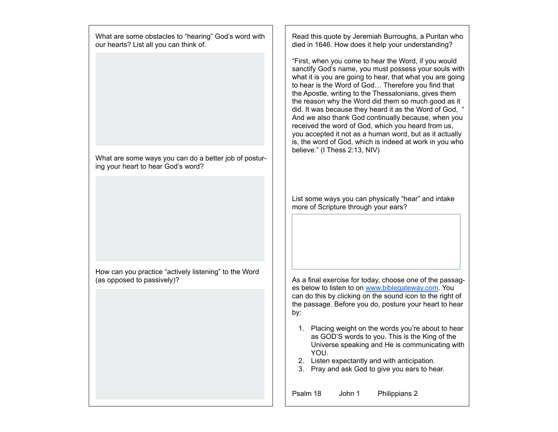What are some obstacles to "hearing" God's word with our hearts? List all you can think of.

What are some ways you can do a better job of posturing your heart to hear God's word?

How can you practice "actively listening" to the Word (as opposed to passively)?

Read this quote by Jeremiah Burroughs, a Puritan who died in 1646. How does it help your understanding?

"First, when you come to hear the Word, if you would sanctify God's name, you must possess your souls with what it is you are going to hear, that what you are going to hear is the Word of God... Therefore you find that the Apostle, writing to the Thessalonians, gives them the reason why the Word did them so much good as it did. It was because they heard it as the Word of God, " And we also thank God continually because, when you received the word of God, which you heard from us, you accepted it not as a human word, but as it actually is, the word of God, which is indeed at work in you who believe." (I Thess 2:13, NIV)

List some ways you can physically "hear" and intake more of Scripture through your ears?

As a final exercise for today, choose one of the passages below to listen to on www.biblegateway.com. You can do this by clicking on the sound icon to the right of the passage. Before you do, posture your heart to hear by:

- 1. Placing weight on the words you're about to hear as GOD'S words to you. This is the King of the Universe speaking and He is communicating with YOU.
- 2. Listen expectantly and with anticipation.
- 3. Pray and ask God to give you ears to hear.

Psalm 18 John 1 Philippians 2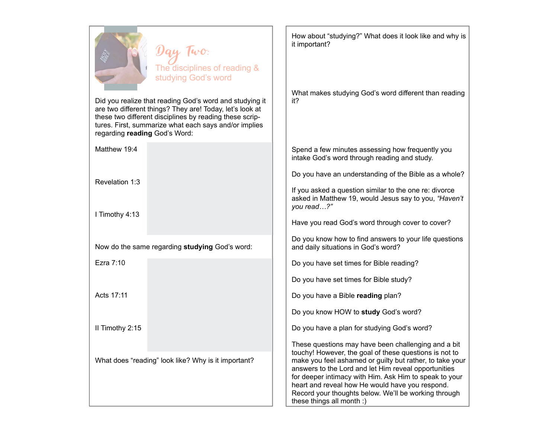

Did you realize that reading God's word and studying it are two different things? They are! Today, let's look at these two different disciplines by reading these scriptures. First, summarize what each says and/or implies regarding **reading** God's Word:

Matthew 19:4

Revelation 1:3

I Timothy 4:13

Now do the same regarding **studying** God's word:

Ezra 7:10

Acts 17:11

II Timothy 2:15

What does "reading" look like? Why is it important?

How about "studying?" What does it look like and why is it important?

What makes studying God's word different than reading it?

Spend a few minutes assessing how frequently you intake God's word through reading and study.

Do you have an understanding of the Bible as a whole?

If you asked a question similar to the one re: divorce asked in Matthew 19, would Jesus say to you, *"Haven't you read…?"* 

Have you read God's word through cover to cover?

Do you know how to find answers to your life questions and daily situations in God's word?

Do you have set times for Bible reading?

Do you have set times for Bible study?

Do you have a Bible **reading** plan?

Do you know HOW to **study** God's word?

Do you have a plan for studying God's word?

These questions may have been challenging and a bit touchy! However, the goal of these questions is not to make you feel ashamed or guilty but rather, to take your answers to the Lord and let Him reveal opportunities for deeper intimacy with Him. Ask Him to speak to your heart and reveal how He would have you respond. Record your thoughts below. We'll be working through these things all month :)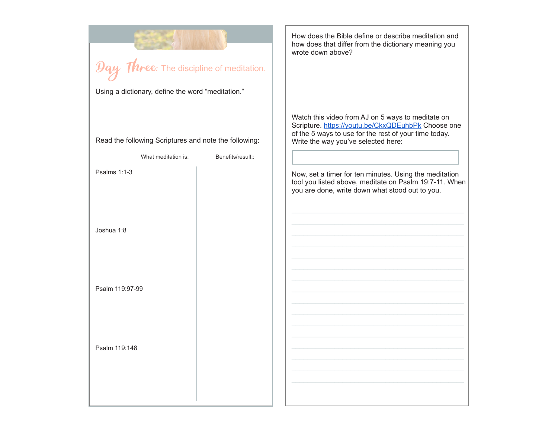|                                                       |                                                       |                   | How does the Bible define or describe meditation and<br>how does that differ from the dictionary meaning you<br>wrote down above?                                                                       |
|-------------------------------------------------------|-------------------------------------------------------|-------------------|---------------------------------------------------------------------------------------------------------------------------------------------------------------------------------------------------------|
| $\mathcal{D}$ ay Three: The discipline of meditation. |                                                       |                   |                                                                                                                                                                                                         |
|                                                       | Using a dictionary, define the word "meditation."     |                   |                                                                                                                                                                                                         |
|                                                       | Read the following Scriptures and note the following: |                   | Watch this video from AJ on 5 ways to meditate on<br>Scripture. https://youtu.be/CkxQDEuhbPk Choose one<br>of the 5 ways to use for the rest of your time today.<br>Write the way you've selected here: |
|                                                       | What meditation is:                                   | Benefits/result:: |                                                                                                                                                                                                         |
|                                                       | Psalms 1:1-3                                          |                   | Now, set a timer for ten minutes. Using the meditation<br>tool you listed above, meditate on Psalm 19:7-11. When<br>you are done, write down what stood out to you.                                     |
|                                                       | Joshua 1:8                                            |                   |                                                                                                                                                                                                         |
|                                                       | Psalm 119:97-99                                       |                   |                                                                                                                                                                                                         |
|                                                       | Psalm 119:148                                         |                   |                                                                                                                                                                                                         |
|                                                       |                                                       |                   |                                                                                                                                                                                                         |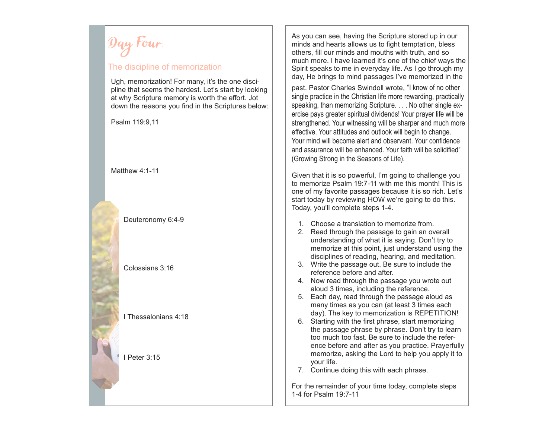Day Four:

#### The discipline of memorization

Ugh, memorization! For many, it's the one discipline that seems the hardest. Let's start by looking at why Scripture memory is worth the effort. Jot down the reasons you find in the Scriptures below:

Psalm 119:9,11

#### Matthew 4:1-11

Deuteronomy 6:4-9

Colossians 3:16

I Thessalonians 4:18

I Peter 3:15

As you can see, having the Scripture stored up in our minds and hearts allows us to fight temptation, bless others, fill our minds and mouths with truth, and so much more. I have learned it's one of the chief ways the Spirit speaks to me in everyday life. As I go through my day, He brings to mind passages I've memorized in the past. Pastor Charles Swindoll wrote, "I know of no other single practice in the Christian life more rewarding, practically speaking, than memorizing Scripture. . . . No other single exercise pays greater spiritual dividends! Your prayer life will be strengthened. Your witnessing will be sharper and much more effective. Your attitudes and outlook will begin to change. Your mind will become alert and observant. Your confidence and assurance will be enhanced. Your faith will be solidified" (Growing Strong in the Seasons of Life).

Given that it is so powerful, I'm going to challenge you to memorize Psalm 19:7-11 with me this month! This is one of my favorite passages because it is so rich. Let's start today by reviewing HOW we're going to do this. Today, you'll complete steps 1-4.

- 1. Choose a translation to memorize from.
- 2. Read through the passage to gain an overall understanding of what it is saying. Don't try to memorize at this point, just understand using the disciplines of reading, hearing, and meditation.
- 3. Write the passage out. Be sure to include the reference before and after.
- 4. Now read through the passage you wrote out aloud 3 times, including the reference.
- 5. Each day, read through the passage aloud as many times as you can (at least 3 times each day). The key to memorization is REPETITION!
- 6. Starting with the first phrase, start memorizing the passage phrase by phrase. Don't try to learn too much too fast. Be sure to include the reference before and after as you practice. Prayerfully memorize, asking the Lord to help you apply it to your life.
- 7. Continue doing this with each phrase.

For the remainder of your time today, complete steps 1-4 for Psalm 19:7-11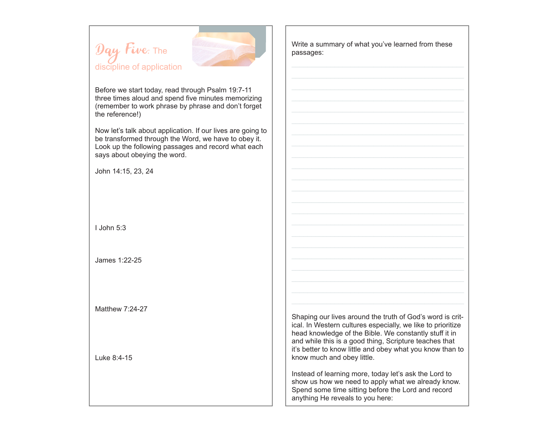Day Five: The discipline of application



Before we start today, read through Psalm 19:7-11 three times aloud and spend five minutes memorizing (remember to work phrase by phrase and don't forget the reference!)

Now let's talk about application. If our lives are going to be transformed through the Word, we have to obey it. Look up the following passages and record what each says about obeying the word.

John 14:15, 23, 24

I John 5:3

James 1:22-25

Matthew 7:24-27

Luke 8:4-15

Write a summary of what you've learned from these passages:

Shaping our lives around the truth of God's word is critical. In Western cultures especially, we like to prioritize head knowledge of the Bible. We constantly stuff it in and while this is a good thing, Scripture teaches that it's better to know little and obey what you know than to know much and obey little.

Instead of learning more, today let's ask the Lord to show us how we need to apply what we already know. Spend some time sitting before the Lord and record anything He reveals to you here: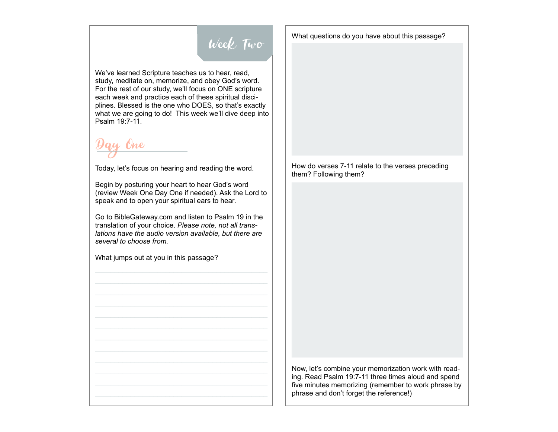

We've learned Scripture teaches us to hear, read, study, meditate on, memorize, and obey God's word. For the rest of our study, we'll focus on ONE scripture each week and practice each of these spiritual disciplines. Blessed is the one who DOES, so that's exactly what we are going to do! This week we'll dive deep into Psalm 19:7-11.

Day One

Today, let's focus on hearing and reading the word.

Begin by posturing your heart to hear God's word (review Week One Day One if needed). Ask the Lord to speak and to open your spiritual ears to hear.

Go to BibleGateway.com and listen to Psalm 19 in the translation of your choice. *Please note, not all translations have the audio version available, but there are several to choose from.* 

What jumps out at you in this passage?

What questions do you have about this passage?

How do verses 7-11 relate to the verses preceding them? Following them?

Now, let's combine your memorization work with reading. Read Psalm 19:7-11 three times aloud and spend five minutes memorizing (remember to work phrase by phrase and don't forget the reference!)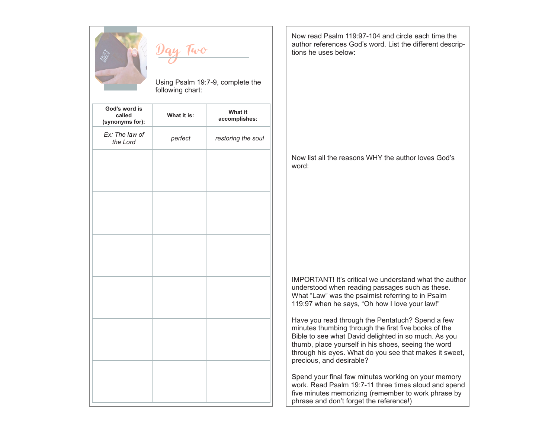

Using Psalm 19:7-9, complete the following chart:

| God's word is<br>called<br>(synonyms for): | What it is: | What it<br>accomplishes: |
|--------------------------------------------|-------------|--------------------------|
| Ex: The law of<br>the Lord                 | perfect     | restoring the soul       |
|                                            |             |                          |
|                                            |             |                          |
|                                            |             |                          |
|                                            |             |                          |
|                                            |             |                          |
|                                            |             |                          |
|                                            |             |                          |
|                                            |             |                          |
|                                            |             |                          |
|                                            |             |                          |
|                                            |             |                          |
|                                            |             |                          |

Now read Psalm 119:97-104 and circle each time the author references God's word. List the different descriptions he uses below:

Now list all the reasons WHY the author loves God's word:

IMPORTANT! It's critical we understand what the author understood when reading passages such as these. What "Law" was the psalmist referring to in Psalm 119:97 when he says, "Oh how I love your law!"

Have you read through the Pentatuch? Spend a few minutes thumbing through the first five books of the Bible to see what David delighted in so much. As you thumb, place yourself in his shoes, seeing the word through his eyes. What do you see that makes it sweet, precious, and desirable?

Spend your final few minutes working on your memory work. Read Psalm 19:7-11 three times aloud and spend five minutes memorizing (remember to work phrase by phrase and don't forget the reference!)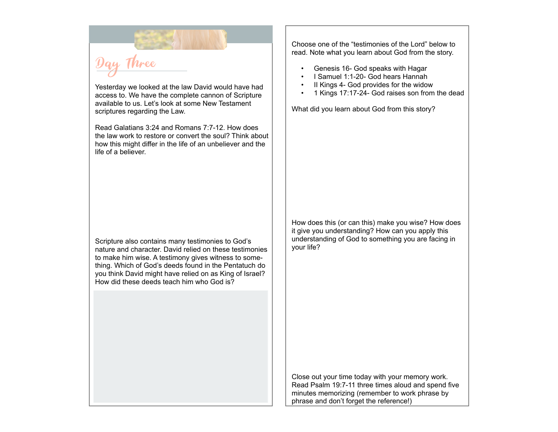Day Three

Yesterday we looked at the law David would have had access to. We have the complete cannon of Scripture available to us. Let's look at some New Testament scriptures regarding the Law.

Read Galatians 3:24 and Romans 7:7-12. How does the law work to restore or convert the soul? Think about how this might differ in the life of an unbeliever and the life of a believer.

Scripture also contains many testimonies to God's nature and character. David relied on these testimonies to make him wise. A testimony gives witness to something. Which of God's deeds found in the Pentatuch do you think David might have relied on as King of Israel? How did these deeds teach him who God is?

Choose one of the "testimonies of the Lord" below to read. Note what you learn about God from the story.

- Genesis 16- God speaks with Hagar
- I Samuel 1:1-20- God hears Hannah
- II Kings 4- God provides for the widow
- 1 Kings 17:17-24- God raises son from the dead

What did you learn about God from this story?

How does this (or can this) make you wise? How does it give you understanding? How can you apply this understanding of God to something you are facing in your life?

Close out your time today with your memory work. Read Psalm 19:7-11 three times aloud and spend five minutes memorizing (remember to work phrase by phrase and don't forget the reference!)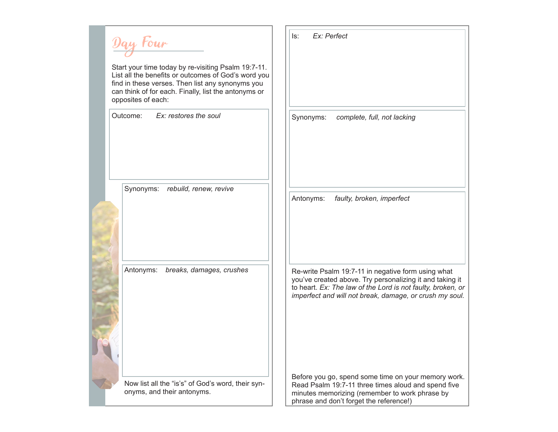Day Four Start your time today by re-visiting Psalm 19:7-11. List all the benefits or outcomes of God's word you find in these verses. Then list any synonyms you can think of for each. Finally, list the antonyms or opposites of each: Outcome: *Ex: restores the soul* Synonyms: *rebuild, renew, revive* Antonyms: *breaks, damages, crushes* Now list all the "is's" of God's word, their synonyms, and their antonyms. Is: *Ex: Perfect* Synonyms: *complete, full, not lacking* Antonyms: *faulty, broken, imperfect* Re-write Psalm 19:7-11 in negative form using what you've created above. Try personalizing it and taking it to heart. *Ex: The law of the Lord is not faulty, broken, or imperfect and will not break, damage, or crush my soul.* Before you go, spend some time on your memory work. Read Psalm 19:7-11 three times aloud and spend five minutes memorizing (remember to work phrase by phrase and don't forget the reference!)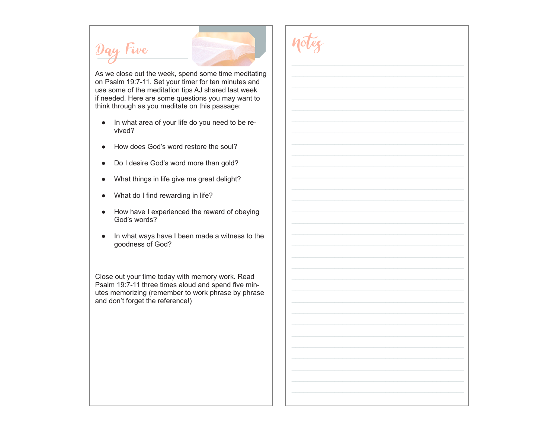# Day Five



Notes

As we close out the week, spend some time meditating on Psalm 19:7-11. Set your timer for ten minutes and use some of the meditation tips AJ shared last week if needed. Here are some questions you may want to think through as you meditate on this passage:

- In what area of your life do you need to be revived?
- How does God's word restore the soul?
- Do I desire God's word more than gold?
- What things in life give me great delight?
- What do I find rewarding in life?
- How have I experienced the reward of obeying God's words?
- In what ways have I been made a witness to the goodness of God?

Close out your time today with memory work. Read Psalm 19:7-11 three times aloud and spend five minutes memorizing (remember to work phrase by phrase and don't forget the reference!)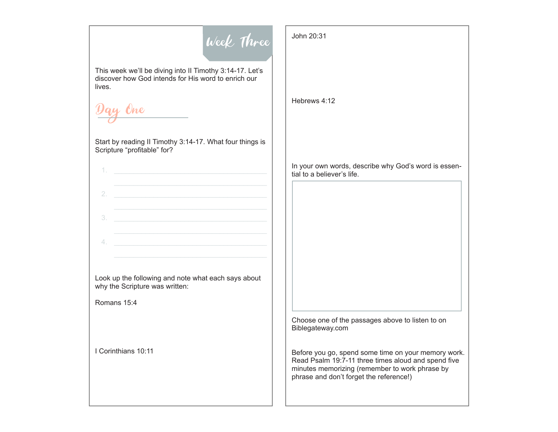

This week we'll be diving into II Timothy 3:14-17. Let's discover how God intends for His word to enrich our lives.

Day One

Start by reading II Timothy 3:14-17. What four things is Scripture "profitable" for?

| 2. |  |  |  |  |
|----|--|--|--|--|
| 3. |  |  |  |  |
|    |  |  |  |  |

Look up the following and note what each says about why the Scripture was written:

Romans 15:4

I Corinthians 10:11

John 20:31

Hebrews 4:12

In your own words, describe why God's word is essential to a believer's life.

Choose one of the passages above to listen to on Biblegateway.com

Before you go, spend some time on your memory work. Read Psalm 19:7-11 three times aloud and spend five minutes memorizing (remember to work phrase by phrase and don't forget the reference!)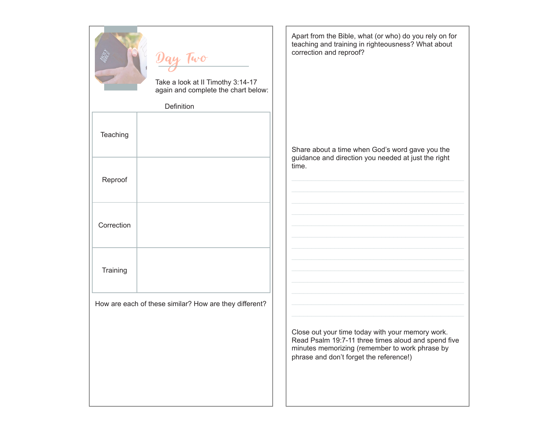|            | Day Two<br>Take a look at II Timothy 3:14-17<br>again and complete the chart below:<br>Definition | Apart from the<br>teaching and<br>correction and              |
|------------|---------------------------------------------------------------------------------------------------|---------------------------------------------------------------|
| Teaching   |                                                                                                   | Share about a<br>guidance and                                 |
| Reproof    |                                                                                                   | time.                                                         |
| Correction |                                                                                                   |                                                               |
| Training   |                                                                                                   |                                                               |
|            | How are each of these similar? How are they different?                                            |                                                               |
|            |                                                                                                   | Close out you<br>Read Psalm 1<br>minutes mem<br>phrase and do |

Apart from the Bible, what (or who) do you rely on for teaching and training in righteousness? What about d reproof?

Share about a time when God's word gave you the guidance and direction you needed at just the right

Close out your time today with your memory work. Read Psalm 19:7-11 three times aloud and spend five minutes memorizing (remember to work phrase by on't forget the reference!)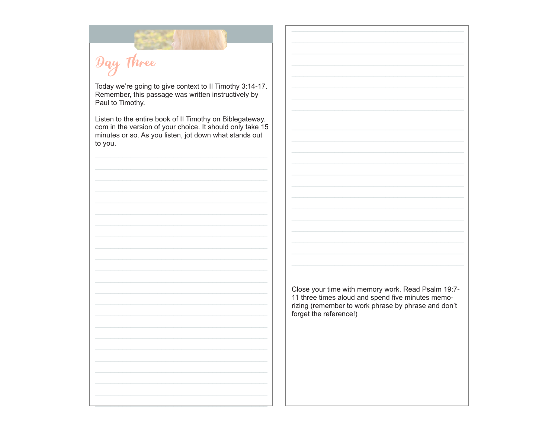Day Three

Today we're going to give context to II Timothy 3:14-17. Remember, this passage was written instructively by Paul to Timothy.

Listen to the entire book of II Timothy on Biblegateway. com in the version of your choice. It should only take 15<br>minutes or so. As you listen, jot down what stands out to you.



Close your time with memory work. Read Psalm 19:7-<br>11 three times aloud and spend five minutes memorizing (remember to work phrase by phrase and don't forget the reference!)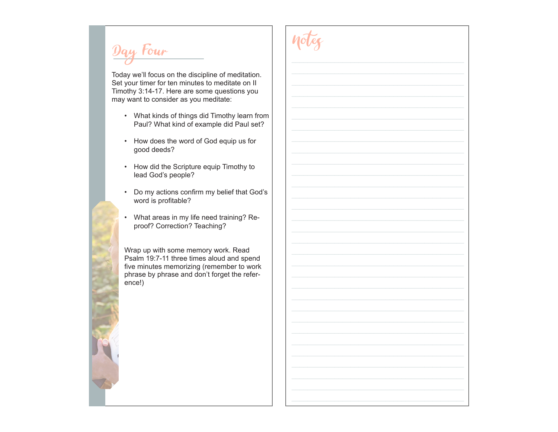Day Four

Today we'll focus on the discipline of meditation. Set your timer for ten minutes to meditate on II Timothy 3:14-17. Here are some questions you may want to consider as you meditate:

- What kinds of things did Timothy learn from Paul? What kind of example did Paul set?
- How does the word of God equip us for good deeds?
- How did the Scripture equip Timothy to lead God's people?
- Do my actions confirm my belief that God's word is profitable?
- What areas in my life need training? Reproof? Correction? Teaching?

Wrap up with some memory work. Read Psalm 19:7-11 three times aloud and spend five minutes memorizing (remember to work phrase by phrase and don't forget the reference!)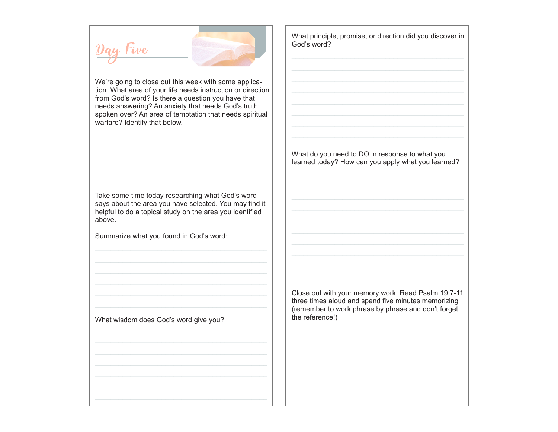# tive



We're going to close out this week with some application. What area of your life needs instruction or direction from God's word? Is there a question you have that needs answering? An anxiety that needs God's truth spoken over? An area of temptation that needs spiritual warfare? Identify that below.

Take some time today researching what God's word says about the area you have selected. You may find it helpful to do a topical study on the area you identified above.

Summarize what you found in God's word:

What wisdom does God's word give you?

What principle, promise, or direction did you discover in God's word?

What do you need to DO in response to what you learned today? How can you apply what you learned?

Close out with your memory work. Read Psalm 19:7-11 three times aloud and spend five minutes memorizing (remember to work phrase by phrase and don't forget the reference!)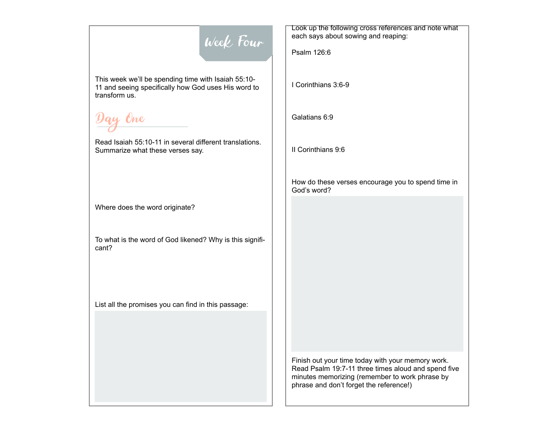### Week Four

This week we'll be spending time with Isaiah 55:10- 11 and seeing specifically how God uses His word to transform us.

Day One

Read Isaiah 55:10-11 in several different translations. Summarize what these verses say.

Where does the word originate?

To what is the word of God likened? Why is this significant?

List all the promises you can find in this passage:

Look up the following cross references and note what each says about sowing and reaping:

Psalm 126:6

I Corinthians 3:6-9

Galatians 6:9

II Corinthians 9:6

How do these verses encourage you to spend time in God's word?

Finish out your time today with your memory work. Read Psalm 19:7-11 three times aloud and spend five minutes memorizing (remember to work phrase by phrase and don't forget the reference!)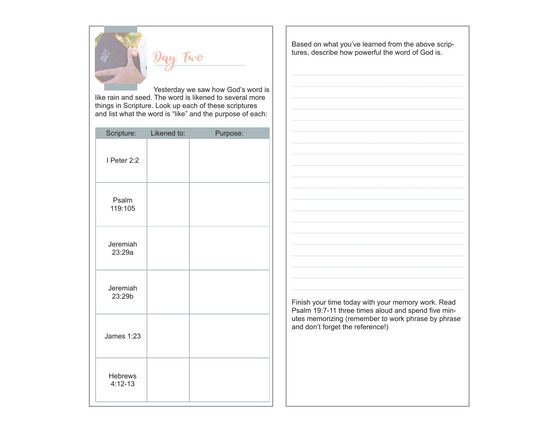

 Yesterday we saw how God's word is like rain and seed. The word is likened to several more things in Scripture. Look up each of these scriptures and list what the word is "like" and the purpose of each:

| Scripture:                    | Likened to: | Purpose: |
|-------------------------------|-------------|----------|
| I Peter 2:2                   |             |          |
| Psalm<br>119:105              |             |          |
| Jeremiah<br>23:29a            |             |          |
| Jeremiah<br>23:29b            |             |          |
| James 1:23                    |             |          |
| <b>Hebrews</b><br>$4:12 - 13$ |             |          |

Based on what you've learned from the above scriptures, describe how powerful the word of God is.

Finish your time today with your memory work. Read Psalm 19:7-11 three times aloud and spend five minutes memorizing (remember to work phrase by phrase and don't forget the reference!)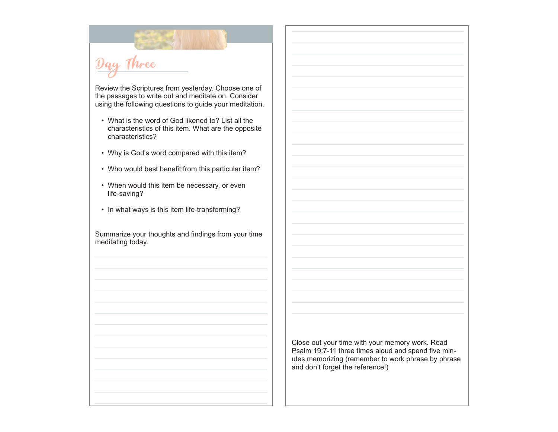## Day Three

Review the Scriptures from yesterday. Choose one of the passages to write out and meditate on. Consider using the following questions to guide your meditation.

- What is the word of God likened to? List all the characteristics of this item. What are the opposite characteristics?
- Why is God's word compared with this item?
- Who would best benefit from this particular item?
- When would this item be necessary, or even life-saving?
- In what ways is this item life-transforming?

Summarize your thoughts and findings from your time meditating today.

> Close out your time with your memory work. Read Psalm 19:7-11 three times aloud and spend five minutes memorizing (remember to work phrase by phrase and don't forget the reference!)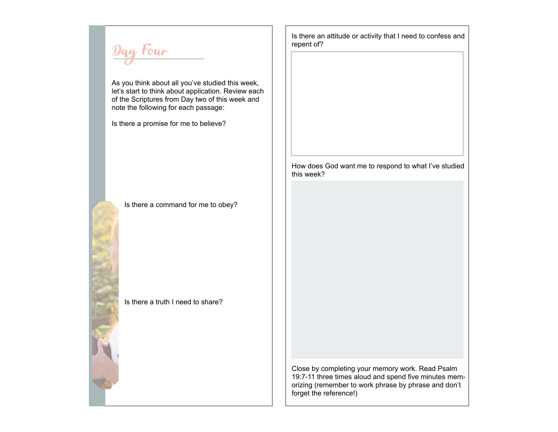Day Four

As you think about all you've studied this week, let's start to think about application. Review each of the Scriptures from Day two of this week and note the following for each passage:

Is there a promise for me to believe?

Is there a command for me to obey?

Is there a truth I need to share?

Is there an attitude or activity that I need to confess and repent of?

How does God want me to respond to what I've studied this week?

Close by completing your memory work. Read Psalm 19:7-11 three times aloud and spend five minutes memorizing (remember to work phrase by phrase and don't forget the reference!)